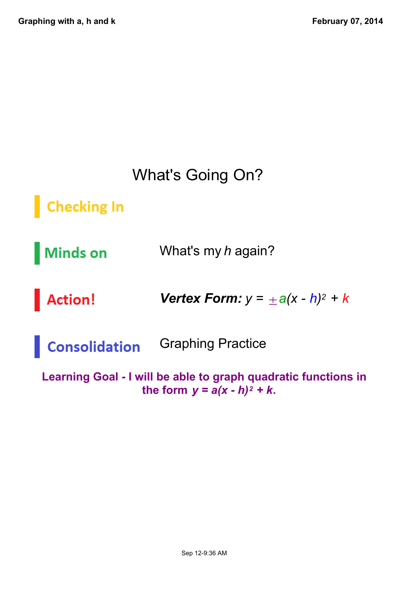### What's Going On?

**Checking In** 

What's my *h* again? **Minds on** 

**Action!** *Vertex Form: y =* ±*a(x h)<sup>2</sup> + k*

Graphing Practice Consolidation

**Learning Goal - I will be able to graph quadratic functions in** the form  $y = a(x - h)^2 + k$ .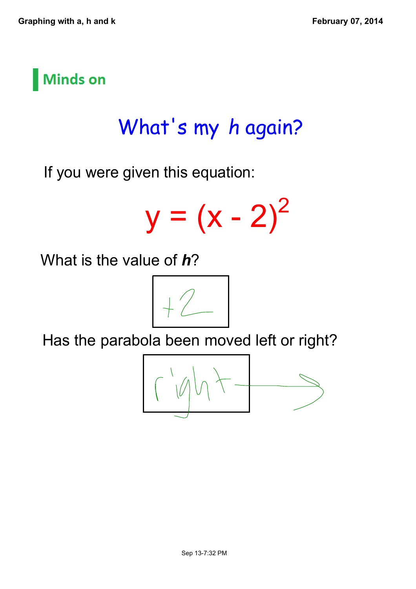

# What's my *h* again?

If you were given this equation:

 $y = (x - 2)$  $\sqrt{2}$ 

What is the value of *h*?



Has the parabola been moved left or right?

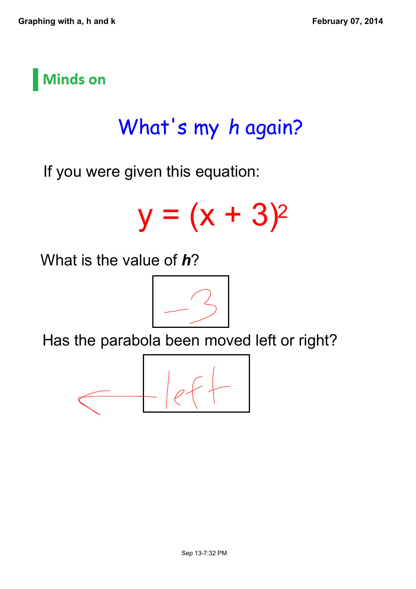

# What's my *h* again?

If you were given this equation:

$$
y = (x + 3)^2
$$

What is the value of *h*?



Has the parabola been moved left or right?

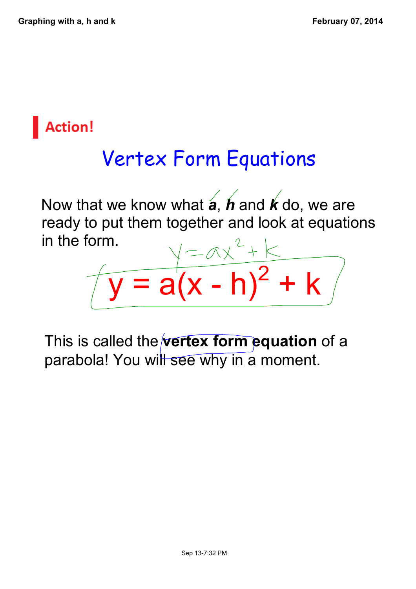### **Action!**

# Vertex Form Equations

Now that we know what *a*, *h* and *k* do, we are ready to put them together and look at equations in the form.

 $\sqrt{2}$ 

 $+ k$ 

This is called the **vertex form equation** of a parabola! You will see why in a moment.

 $\bar{y}$  = a(x - h)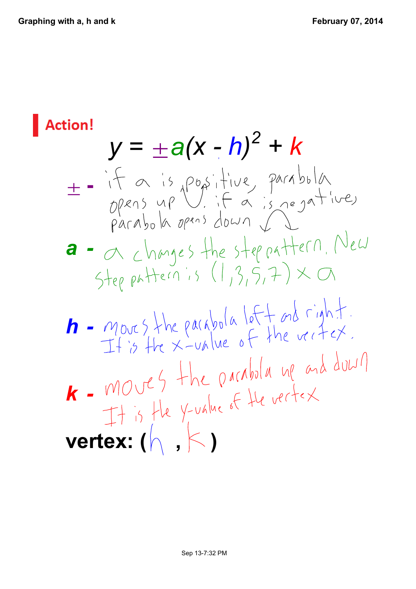**Action!**  $y = \pm a(x - h)^2 + k$  $\pm$  = if a is positive parabola<br>ppens up if a is regative,<br>parabola opens down  $\int$ **a** - a changes the step pattern. New Step pattern is  $(1,3,5,7) \times \mathbb{C}$  $h$  -  $m$  over  $s$  the parabola left and right.<br>It is the  $x$ -value of the vector. *k* - MOVES the parabola up and duwn  $MOUT$  The value of the vertex<br>It is the y-value of the vertex **vertex:** (  $\land$  ,  $\lt$  )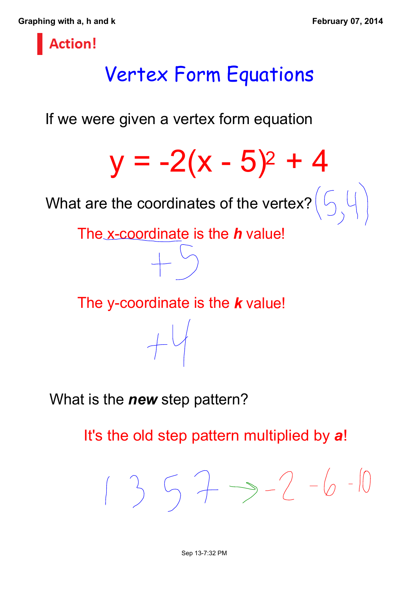**Graphing with a, h and k February 07, 2014**



## Vertex Form Equations

If we were given a vertex form equation



The y-coordinate is the **k** value!

 $+4$ 

What is the *new* step pattern?

It's the old step pattern multiplied by *a*!

 $13573-2-6-10$ 

Sep 13-7:32 PM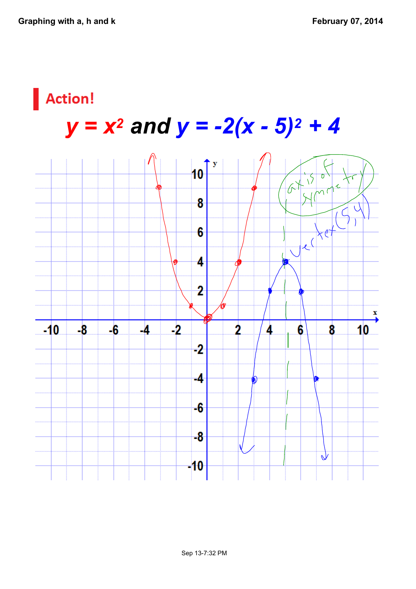### Action!

# *y = x<sup>2</sup> and y = 2(x 5)<sup>2</sup> + 4*

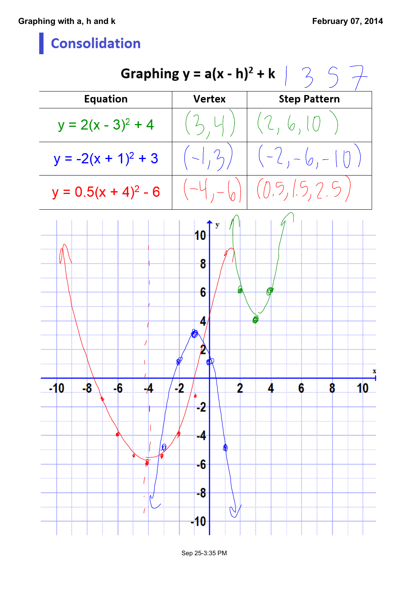#### **Consolidation**

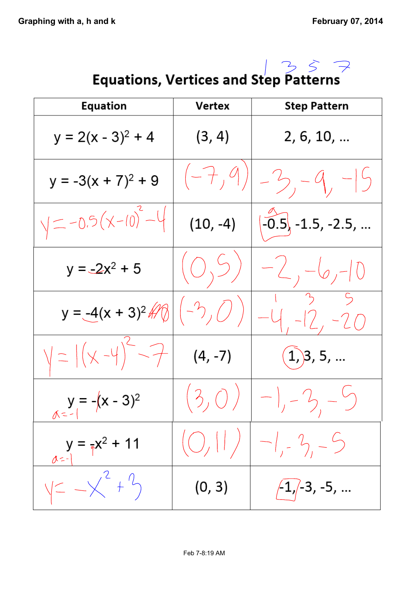

| <b>Equation</b>           | Vertex                                 | <b>Step Pattern</b>             |
|---------------------------|----------------------------------------|---------------------------------|
| $y = 2(x - 3)^2 + 4$      | (3, 4)                                 | 2, 6, 10,                       |
| $y = -3(x + 7)^{2} + 9$   | $(-7, 9)$                              | $-3, -9, -15$                   |
| $y = -0.5(x-10)^{2}-4$    | $(10, -4)$                             | $\overline{-0.5}$ , -1.5, -2.5, |
| $y = -2x^2 + 5$           | (O, 5)                                 | $-2, -6, -10$                   |
| $y = -4(x + 3)^2$         | $(-2, 0)$                              | $-12, -20$                      |
| $y =  (x - 4)^{2} - 7 $   | $(4, -7)$                              | $(1)$ 3, 5,                     |
| $y = -(x - 3)^2$          | (3,0)                                  | $-1, -2, -5$                    |
| $y = \frac{1}{3}x^2 + 11$ | $\left(\bigcirc,\left \right  \right)$ | $-1, -2, -5$                    |
| $y = -\chi^2 + 1$         | (0, 3)                                 | $\big/1$ , $\big/$ -3, -5,      |